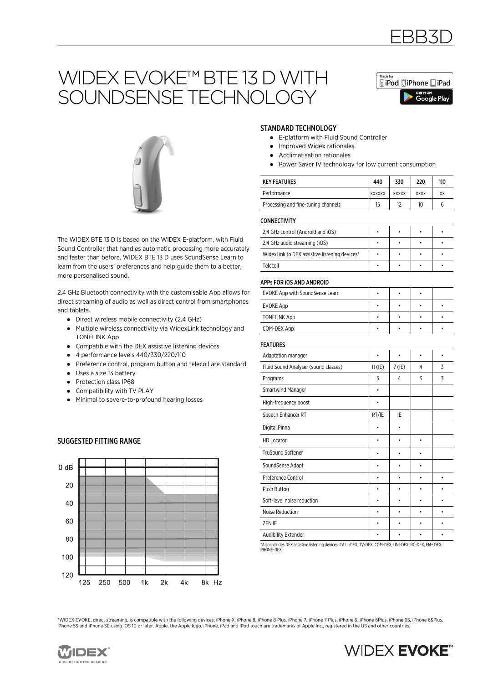# WIDEX EVOKE™ BTE 13 D WITH SOUNDSENSE TECHNOLOGY



EBB3D



The WIDEX BTE 13 D is based on the WIDEX E-platform, with Fluid Sound Controller that handles automatic processing more accurately and faster than before. WIDEX BTE 13 D uses SoundSense Learn to learn from the users' preferences and help guide them to a better, more personalised sound.

2.4 GHz Bluetooth connectivity with the customisable App allows for direct streaming of audio as well as direct control from smartphones and tablets.

- Direct wireless mobile connectivity (2.4 GHz)
- Multiple wireless connectivity via WidexLink technology and TONELINK App
- Compatible with the DEX assistive listening devices
- 4 performance levels 440/330/220/110
- Preference control, program button and telecoil are standard
- Uses a size 13 battery
- Protection class IP68
- Compatibility with TV PLAY
- Minimal to severe-to-profound hearing losses

### $0 dB$ 20 40 60  $80$  $100$ 120 250 500 8k Hz 125  $1<sub>k</sub>$  $2k$  $4k$

### STANDARD TECHNOLOGY

- E-platform with Fluid Sound Controller
- Improved Widex rationales
- Acclimatisation rationales
- Power Saver IV technology for low current consumption

| <b>KEY FEATURES</b>                 | 440           | 330          | 220         | 110 |
|-------------------------------------|---------------|--------------|-------------|-----|
| Performance                         | <b>XXXXXX</b> | <b>XXXXX</b> | <b>XXXX</b> | XX  |
| Processing and fine-tuning channels | 15            | 12           | 10          |     |

### CONNECTIVITY

| 2.4 GHz control (Android and iOS)             |  |  |
|-----------------------------------------------|--|--|
| 2.4 GHz audio streaming (iOS)                 |  |  |
| WidexLink to DEX assistive listening devices* |  |  |
| Telecoil                                      |  |  |

#### APPs FOR iOS AND ANDROID

| EVOKE App with SoundSense Learn |  |  |
|---------------------------------|--|--|
| EVOKE App                       |  |  |
| <b>TONELINK App</b>             |  |  |
| COM-DEX App                     |  |  |

### FEATURES

| נותו טוגרט                           |           |          |   |   |
|--------------------------------------|-----------|----------|---|---|
| Adaptation manager                   |           | ٠        | ٠ | ٠ |
| Fluid Sound Analyser (sound classes) | $11$ (IE) | $7$ (IE) | 4 | 3 |
| Programs                             | 5         | 4        | 3 | 3 |
| <b>Smartwind Manager</b>             |           |          |   |   |
| High-frequency boost                 |           |          |   |   |
| Speech Enhancer RT                   | RT/IE     | IE       |   |   |
| Digital Pinna                        |           |          |   |   |
| <b>HD Locator</b>                    |           |          | ٠ |   |
| <b>TruSound Softener</b>             |           |          |   |   |
| SoundSense Adapt                     |           |          |   |   |
| Preference Control                   |           |          |   |   |
| Push Button                          |           |          |   |   |
| Soft-level noise reduction           |           |          |   |   |
| Noise Reduction                      |           |          |   |   |
| ZEN IE                               |           |          |   |   |
| <b>Audibility Extender</b>           |           |          |   |   |

\*Also includes DEX assistive listening devices: CALL-DEX, TV-DEX, COM-DEX, UNI-DEX, RC-DEX, FM+ DEX, PHONE-DEX

\*WIDEX EVOKE, direct streaming, is compatible with the following devices: iPhone X, iPhone 8, iPhone 8 Plus, iPhone 7, iPhone 7 Plus, iPhone 6, iPhone 6Plus, iPhone 6S, iPhone 6SPlus, iPhone 5S and iPhone SE using iOS 10 or later. Apple, the Apple logo, iPhone, iPad and iPod touch are trademarks of Apple Inc., registered in the US and other countries.



# **WIDEX EVOKE**"

# SUGGESTED FITTING RANGE